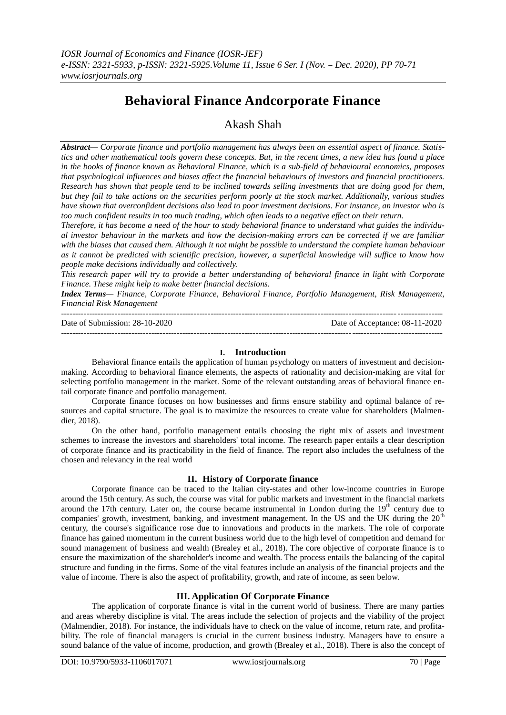# **Behavioral Finance Andcorporate Finance**

## Akash Shah

*Abstract— Corporate finance and portfolio management has always been an essential aspect of finance. Statistics and other mathematical tools govern these concepts. But, in the recent times, a new idea has found a place in the books of finance known as Behavioral Finance, which is a sub-field of behavioural economics, proposes that psychological influences and biases affect the financial behaviours of investors and financial practitioners. Research has shown that people tend to be inclined towards selling investments that are doing good for them, but they fail to take actions on the securities perform poorly at the stock market. Additionally, various studies have shown that overconfident decisions also lead to poor investment decisions. For instance, an investor who is too much confident results in too much trading, which often leads to a negative effect on their return.*

*Therefore, it has become a need of the hour to study behavioral finance to understand what guides the individual investor behaviour in the markets and how the decision-making errors can be corrected if we are familiar with the biases that caused them. Although it not might be possible to understand the complete human behaviour as it cannot be predicted with scientific precision, however, a superficial knowledge will suffice to know how people make decisions individually and collectively.*

*This research paper will try to provide a better understanding of behavioral finance in light with Corporate Finance. These might help to make better financial decisions.*

*Index Terms— Finance, Corporate Finance, Behavioral Finance, Portfolio Management, Risk Management, Financial Risk Management*

--------------------------------------------------------------------------------------------------------------------------------------- Date of Submission: 28-10-2020 Date of Acceptance: 08-11-2020 ---------------------------------------------------------------------------------------------------------------------------------------

### **I. Introduction**

Behavioral finance entails the application of human psychology on matters of investment and decisionmaking. According to behavioral finance elements, the aspects of rationality and decision-making are vital for selecting portfolio management in the market. Some of the relevant outstanding areas of behavioral finance entail corporate finance and portfolio management.

Corporate finance focuses on how businesses and firms ensure stability and optimal balance of resources and capital structure. The goal is to maximize the resources to create value for shareholders (Malmendier, 2018).

On the other hand, portfolio management entails choosing the right mix of assets and investment schemes to increase the investors and shareholders' total income. The research paper entails a clear description of corporate finance and its practicability in the field of finance. The report also includes the usefulness of the chosen and relevancy in the real world

### **II. History of Corporate finance**

Corporate finance can be traced to the Italian city-states and other low-income countries in Europe around the 15th century. As such, the course was vital for public markets and investment in the financial markets around the 17th century. Later on, the course became instrumental in London during the  $19<sup>th</sup>$  century due to companies' growth, investment, banking, and investment management. In the US and the UK during the  $20<sup>th</sup>$ century, the course's significance rose due to innovations and products in the markets. The role of corporate finance has gained momentum in the current business world due to the high level of competition and demand for sound management of business and wealth (Brealey et al., 2018). The core objective of corporate finance is to ensure the maximization of the shareholder's income and wealth. The process entails the balancing of the capital structure and funding in the firms. Some of the vital features include an analysis of the financial projects and the value of income. There is also the aspect of profitability, growth, and rate of income, as seen below.

### **III. Application Of Corporate Finance**

The application of corporate finance is vital in the current world of business. There are many parties and areas whereby discipline is vital. The areas include the selection of projects and the viability of the project (Malmendier, 2018). For instance, the individuals have to check on the value of income, return rate, and profitability. The role of financial managers is crucial in the current business industry. Managers have to ensure a sound balance of the value of income, production, and growth (Brealey et al., 2018). There is also the concept of